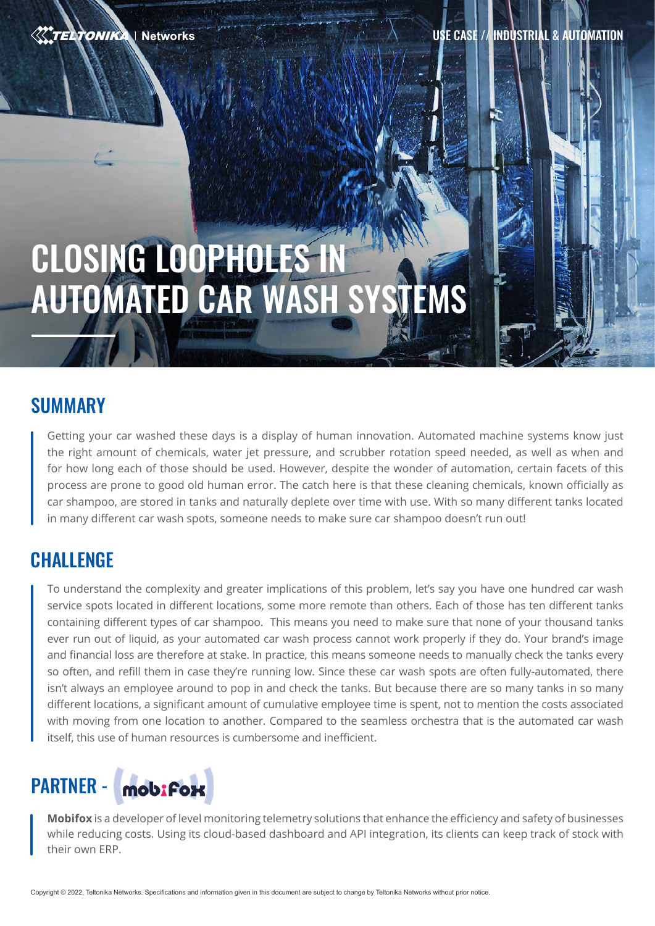**TELTONIKA | Networks** 

USE CASE // INDUSTRIAL & AUTOMATION

# CLOSING LOOPHOLES IN AUTOMATED CAR WASH SYSTEMS

#### **SUMMARY**

Getting your car washed these days is a display of human innovation. Automated machine systems know just the right amount of chemicals, water jet pressure, and scrubber rotation speed needed, as well as when and for how long each of those should be used. However, despite the wonder of automation, certain facets of this process are prone to good old human error. The catch here is that these cleaning chemicals, known officially as car shampoo, are stored in tanks and naturally deplete over time with use. With so many different tanks located in many different car wash spots, someone needs to make sure car shampoo doesn't run out!

### **CHALLENGE**

To understand the complexity and greater implications of this problem, let's say you have one hundred car wash service spots located in different locations, some more remote than others. Each of those has ten different tanks containing different types of car shampoo. This means you need to make sure that none of your thousand tanks ever run out of liquid, as your automated car wash process cannot work properly if they do. Your brand's image and financial loss are therefore at stake. In practice, this means someone needs to manually check the tanks every so often, and refill them in case they're running low. Since these car wash spots are often fully-automated, there isn't always an employee around to pop in and check the tanks. But because there are so many tanks in so many different locations, a significant amount of cumulative employee time is spent, not to mention the costs associated with moving from one location to another. Compared to the seamless orchestra that is the automated car wash itself, this use of human resources is cumbersome and inefficient.

## PARTNER - **mobifox**

**Mobifox** is a developer of level monitoring telemetry solutions that enhance the efficiency and safety of businesses while reducing costs. Using its cloud-based dashboard and API integration, its clients can keep track of stock with their own ERP.